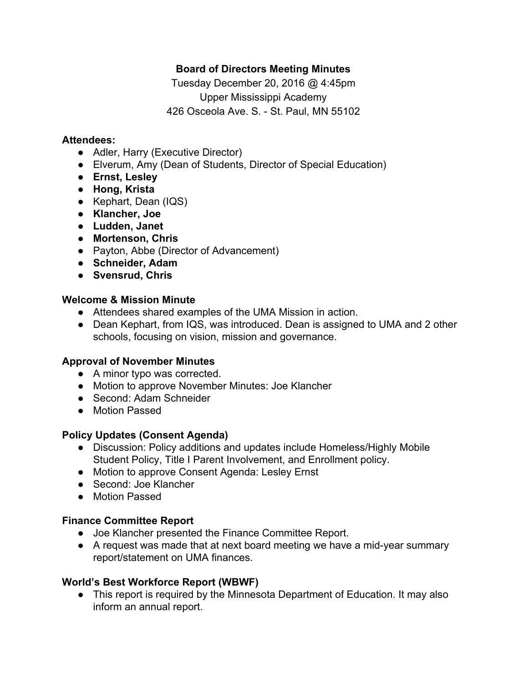# **Board of Directors Meeting Minutes**

Tuesday December 20, 2016 @ 4:45pm Upper Mississippi Academy 426 Osceola Ave. S. - St. Paul, MN 55102

### **Attendees:**

- Adler, Harry (Executive Director)
- Elverum, Amy (Dean of Students, Director of Special Education)
- **● Ernst, Lesley**
- **● Hong, Krista**
- Kephart, Dean (IQS)
- **● Klancher, Joe**
- **● Ludden, Janet**
- **● Mortenson, Chris**
- Payton, Abbe (Director of Advancement)
- **● Schneider, Adam**
- **● Svensrud, Chris**

### **Welcome & Mission Minute**

- Attendees shared examples of the UMA Mission in action.
- Dean Kephart, from IQS, was introduced. Dean is assigned to UMA and 2 other schools, focusing on vision, mission and governance.

# **Approval of November Minutes**

- A minor typo was corrected.
- Motion to approve November Minutes: Joe Klancher
- Second: Adam Schneider
- Motion Passed

# **Policy Updates (Consent Agenda)**

- Discussion: Policy additions and updates include Homeless/Highly Mobile Student Policy, Title I Parent Involvement, and Enrollment policy.
- Motion to approve Consent Agenda: Lesley Ernst
- Second: Joe Klancher
- Motion Passed

# **Finance Committee Report**

- Joe Klancher presented the Finance Committee Report.
- A request was made that at next board meeting we have a mid-year summary report/statement on UMA finances.

# **World's Best Workforce Report (WBWF)**

• This report is required by the Minnesota Department of Education. It may also inform an annual report.